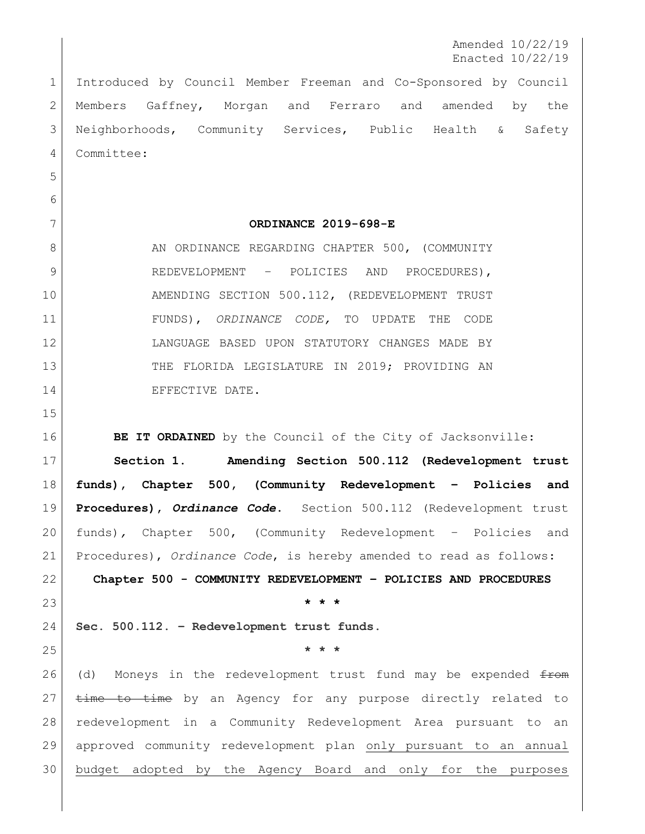Amended 10/22/19 Enacted 10/22/19

 Introduced by Council Member Freeman and Co-Sponsored by Council Members Gaffney, Morgan and Ferraro and amended by the Neighborhoods, Community Services, Public Health & Safety Committee:

**ORDINANCE 2019-698-E**

8 AN ORDINANCE REGARDING CHAPTER 500, (COMMUNITY 9 REDEVELOPMENT – POLICIES AND PROCEDURES), 10 AMENDING SECTION 500.112, (REDEVELOPMENT TRUST FUNDS), *ORDINANCE CODE,* TO UPDATE THE CODE LANGUAGE BASED UPON STATUTORY CHANGES MADE BY 13 THE FLORIDA LEGISLATURE IN 2019; PROVIDING AN 14 EFFECTIVE DATE.

**BE IT ORDAINED** by the Council of the City of Jacksonville:

 **Section 1. Amending Section 500.112 (Redevelopment trust funds), Chapter 500, (Community Redevelopment – Policies and Procedures),** *Ordinance Code***.** Section 500.112 (Redevelopment trust funds)*,* Chapter 500, (Community Redevelopment – Policies and Procedures), *Ordinance Code*, is hereby amended to read as follows: **Chapter 500 - COMMUNITY REDEVELOPMENT – POLICIES AND PROCEDURES**

**\* \* \***

**Sec. 500.112. – Redevelopment trust funds.** 

**\* \* \***

26 (d) Moneys in the redevelopment trust fund may be expended  $f$ from  $\times$  time to time by an Agency for any purpose directly related to redevelopment in a Community Redevelopment Area pursuant to an approved community redevelopment plan only pursuant to an annual budget adopted by the Agency Board and only for the purposes